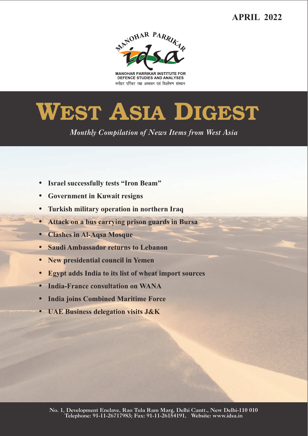## **APRIL 2022**



**MANOHAR PARRIKAR INSTITUTE FOR** DEFENCE STUDIES AND ANALYSES मनोहर पर्रिकर रक्षा अध्ययन एवं विश्लेषण संस्थान

# **WEST ASIA DIGEST**

*Monthly Compilation of News Items from West Asia* 

- ??**Israel successfully tests "Iron Beam"**
- 
- Turkish military operation in northern Iraq
- ?**Turkish military operation in northern Iraq** ?**Attack on a bus carrying prison guards in Bursa**
- 
- ?**Clashes in Al-Aqsa Mosque** ?**Saudi Ambassador returns to Lebanon**
- 
- ?**New presidential council in Yemen** ?**Egypt adds India to its list of wheat import sources**
- ?**India-France consultation on WANA**
- 
- ?**India joins Combined Maritime Force UAE Business delegation visits J&K**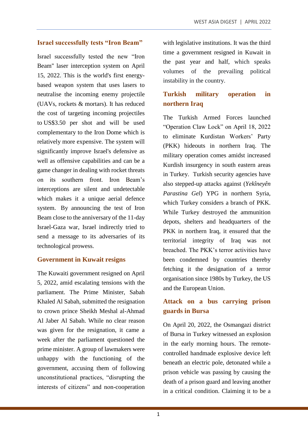#### **Israel successfully tests "Iron Beam"**

Israel successfully tested the new "Iron Beam'' laser interception system on April 15, 2022. This is the world's first energybased weapon system that uses lasers to neutralise the incoming enemy projectile (UAVs, rockets & mortars). It has reduced the cost of targeting incoming projectiles to US\$3.50 per shot and will be used complementary to the Iron Dome which is relatively more expensive. The system will significantly improve Israel's defensive as well as offensive capabilities and can be a game changer in dealing with rocket threats on its southern front. Iron Beam's interceptions are silent and undetectable which makes it a unique aerial defence system. By announcing the test of Iron Beam close to the anniversary of the 11-day Israel-Gaza war, Israel indirectly tried to send a message to its adversaries of its technological prowess.

#### **Government in Kuwait resigns**

The Kuwaiti government resigned on April 5, 2022, amid escalating tensions with the parliament. The Prime Minister, Sabah Khaled Al Sabah, submitted the resignation to crown prince Sheikh Meshal al-Ahmad Al Jaber Al Sabah. While no clear reason was given for the resignation, it came a week after the parliament questioned the prime minister. A group of lawmakers were unhappy with the functioning of the government, accusing them of following unconstitutional practices, "disrupting the interests of citizens" and non-cooperation with legislative institutions. It was the third time a government resigned in Kuwait in the past year and half, which speaks volumes of the prevailing political instability in the country.

## **Turkish military operation in northern Iraq**

The Turkish Armed Forces launched "Operation Claw Lock" on April 18, 2022 to eliminate Kurdistan Workers' Party (PKK) hideouts in northern Iraq. The military operation comes amidst increased Kurdish insurgency in south eastern areas in Turkey. Turkish security agencies have also stepped-up attacks against (*Yekîneyên Parastina Gel*) YPG in northern Syria, which Turkey considers a branch of PKK. While Turkey destroyed the ammunition depots, shelters and headquarters of the PKK in northern Iraq, it ensured that the territorial integrity of Iraq was not breached. The PKK's terror activities have been condemned by countries thereby fetching it the designation of a terror organisation since 1980s by Turkey, the US and the European Union.

## **Attack on a bus carrying prison guards in Bursa**

On April 20, 2022, the Osmangazi district of Bursa in Turkey witnessed an explosion in the early morning hours. The remotecontrolled handmade explosive device left beneath an electric pole, detonated while a prison vehicle was passing by causing the death of a prison guard and leaving another in a critical condition. Claiming it to be a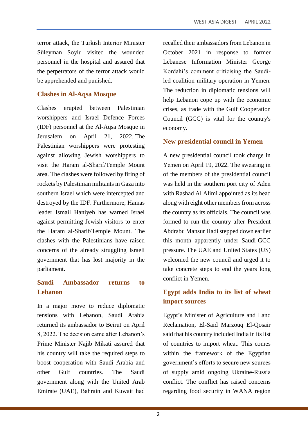terror attack, the Turkish Interior Minister Süleyman Soylu visited the wounded personnel in the hospital and assured that the perpetrators of the terror attack would be apprehended and punished.

### **Clashes in Al-Aqsa Mosque**

Clashes erupted between Palestinian worshippers and Israel Defence Forces (IDF) personnel at the Al-Aqsa Mosque in Jerusalem on April 21, 2022. The Palestinian worshippers were protesting against allowing Jewish worshippers to visit the Haram al-Sharif/Temple Mount area. The clashes were followed by firing of rockets by Palestinian militants in Gaza into southern Israel which were intercepted and destroyed by the IDF. Furthermore, Hamas leader Ismail Haniyeh has warned Israel against permitting Jewish visitors to enter the Haram al-Sharif/Temple Mount. The clashes with the Palestinians have raised concerns of the already struggling Israeli government that has lost majority in the parliament.

## **Saudi Ambassador returns to Lebanon**

In a major move to reduce diplomatic tensions with Lebanon, Saudi Arabia returned its ambassador to Beirut on April 8, 2022. The decision came after Lebanon's Prime Minister Najib Mikati assured that his country will take the required steps to boost cooperation with Saudi Arabia and other Gulf countries. The Saudi government along with the United Arab Emirate (UAE), Bahrain and Kuwait had recalled their ambassadors from Lebanon in October 2021 in response to former Lebanese Information Minister George Kordahi's comment criticising the Saudiled coalition military operation in Yemen. The reduction in diplomatic tensions will help Lebanon cope up with the economic crises, as trade with the Gulf Cooperation Council (GCC) is vital for the country's economy.

#### **New presidential council in Yemen**

A new presidential council took charge in Yemen on April 19, 2022. The swearing in of the members of the presidential council was held in the southern port city of Aden with Rashad Al Alimi appointed as its head along with eight other members from across the country as its officials. The council was formed to run the country after President Abdrabu Mansur Hadi stepped down earlier this month apparently under Saudi-GCC pressure. The UAE and United States (US) welcomed the new council and urged it to take concrete steps to end the years long conflict in Yemen.

## **Egypt adds India to its list of wheat import sources**

Egypt's Minister of Agriculture and Land Reclamation, El-Said Marzouq El-Qosair said that his country included India in its list of countries to import wheat. This comes within the framework of the Egyptian government's efforts to secure new sources of supply amid ongoing Ukraine-Russia conflict. The conflict has raised concerns regarding food security in WANA region